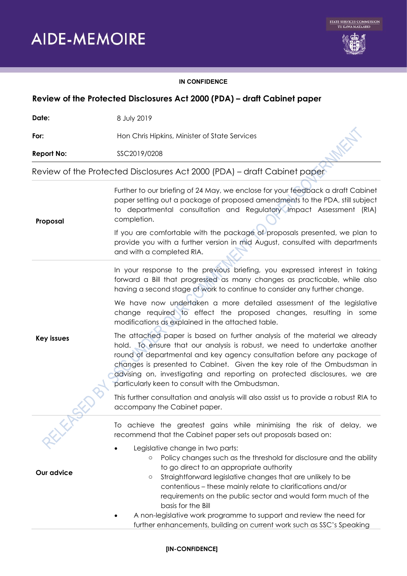

## **IN CONFIDENCE**

| Review of the Protected Disclosures Act 2000 (PDA) - draft Cabinet paper |                                                                                                                                                                                                                                                                                                                                                                                                                                                                                                                                              |  |  |  |
|--------------------------------------------------------------------------|----------------------------------------------------------------------------------------------------------------------------------------------------------------------------------------------------------------------------------------------------------------------------------------------------------------------------------------------------------------------------------------------------------------------------------------------------------------------------------------------------------------------------------------------|--|--|--|
| Date:                                                                    | 8 July 2019                                                                                                                                                                                                                                                                                                                                                                                                                                                                                                                                  |  |  |  |
| For:                                                                     | Hon Chris Hipkins, Minister of State Services                                                                                                                                                                                                                                                                                                                                                                                                                                                                                                |  |  |  |
| <b>Report No:</b>                                                        | SSC2019/0208                                                                                                                                                                                                                                                                                                                                                                                                                                                                                                                                 |  |  |  |
|                                                                          | Review of the Protected Disclosures Act 2000 (PDA) - draft Cabinet paper                                                                                                                                                                                                                                                                                                                                                                                                                                                                     |  |  |  |
| Proposal                                                                 | Further to our briefing of 24 May, we enclose for your feedback a draft Cabinet<br>paper setting out a package of proposed amendments to the PDA, still subject<br>to departmental consultation and Regulatory Impact Assessment (RIA)<br>completion.                                                                                                                                                                                                                                                                                        |  |  |  |
|                                                                          | If you are comfortable with the package of proposals presented, we plan to<br>provide you with a further version in mid August, consulted with departments<br>and with a completed RIA.                                                                                                                                                                                                                                                                                                                                                      |  |  |  |
|                                                                          | In your response to the previous briefing, you expressed interest in taking<br>forward a Bill that progressed as many changes as practicable, while also<br>having a second stage of work to continue to consider any further change.                                                                                                                                                                                                                                                                                                        |  |  |  |
|                                                                          | We have now undertaken a more detailed assessment of the legislative<br>change required to effect the proposed changes, resulting in some<br>modifications as explained in the attached table.                                                                                                                                                                                                                                                                                                                                               |  |  |  |
| <b>Key issues</b>                                                        | The attached paper is based on further analysis of the material we already<br>hold. To ensure that our analysis is robust, we need to undertake another<br>round of departmental and key agency consultation before any package of<br>changes is presented to Cabinet. Given the key role of the Ombudsman in<br>advising on, investigating and reporting on protected disclosures, we are<br>particularly keen to consult with the Ombudsman.                                                                                               |  |  |  |
|                                                                          | This further consultation and analysis will also assist us to provide a robust RIA to<br>accompany the Cabinet paper.                                                                                                                                                                                                                                                                                                                                                                                                                        |  |  |  |
| FIFE                                                                     | To achieve the greatest gains while minimising the risk of delay, we<br>recommend that the Cabinet paper sets out proposals based on:                                                                                                                                                                                                                                                                                                                                                                                                        |  |  |  |
| Our advice                                                               | Legislative change in two parts:<br>Policy changes such as the threshold for disclosure and the ability<br>$\circ$<br>to go direct to an appropriate authority<br>Straightforward legislative changes that are unlikely to be<br>$\circ$<br>contentious - these mainly relate to clarifications and/or<br>requirements on the public sector and would form much of the<br>basis for the Bill<br>A non-legislative work programme to support and review the need for<br>further enhancements, building on current work such as SSC's Speaking |  |  |  |

## **[IN-CONFIDENCE]**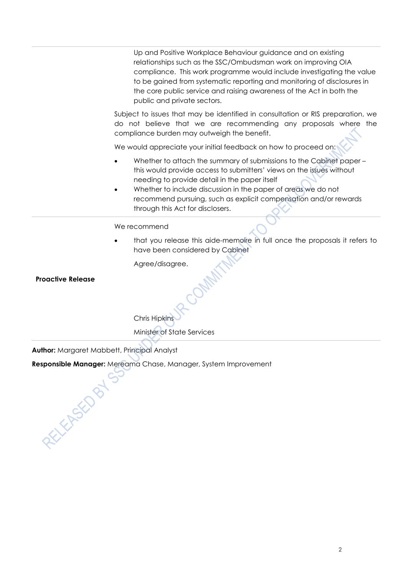Up and Positive Workplace Behaviour guidance and on existing relationships such as the SSC/Ombudsman work on improving OIA compliance. This work programme would include investigating the value to be gained from systematic reporting and monitoring of disclosures in the core public service and raising awareness of the Act in both the public and private sectors.

Subject to issues that may be identified in consultation or RIS preparation, we do not believe that we are recommending any proposals where the compliance burden may outweigh the benefit.

We would appreciate your initial feedback on how to proceed on:

- Whether to attach the summary of submissions to the Cabinet paper this would provide access to submitters' views on the issues without needing to provide detail in the paper itself
- Whether to include discussion in the paper of areas we do not recommend pursuing, such as explicit compensation and/or rewards through this Act for disclosers.

## We recommend

• that you release this aide-memoire in full once the proposals it refers to have been considered by Cabinet

Agree/disagree.

## **Proactive Release**

Chris Hipkins Minister of State Services

**Author:** Margaret Mabbett, Principal Analyst

**FELEND BY** 

**Responsible Manager:** Mereama Chase, Manager, System Improvement